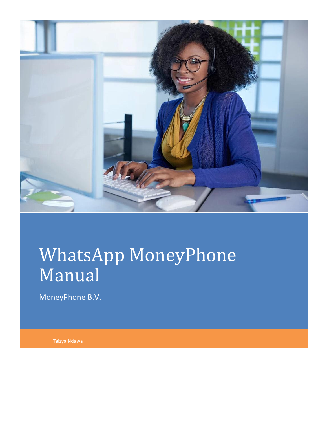

# WhatsApp MoneyPhone Manual

MoneyPhone B.V.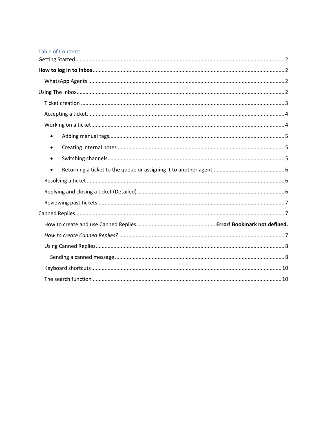#### **Table of Contents**

| $\bullet$ |
|-----------|
| $\bullet$ |
| $\bullet$ |
| $\bullet$ |
|           |
|           |
|           |
|           |
|           |
|           |
|           |
|           |
|           |
|           |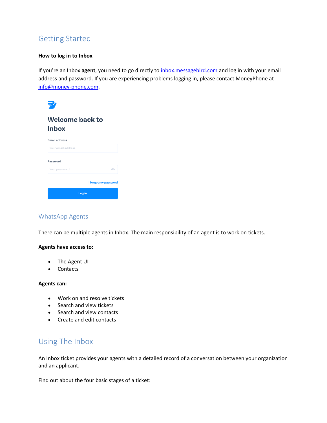# <span id="page-2-0"></span>Getting Started

#### <span id="page-2-1"></span>**[How to log in to Inbox](https://support.messagebird.com/hc/en-us/articles/360005373537-How-to-log-in-to-Inbox)**

If you're an Inbox **agent**, you need to go directly to [inbox.messagebird.com](http://inbox.messagebird.com/) and log in with your email address and password. If you are experiencing problems logging in, please contact MoneyPhone at [info@money-phone.com.](mailto:info@money-phone.com)



# <span id="page-2-2"></span>WhatsApp Agents

There can be multiple agents in Inbox. The main responsibility of an agent is to work on tickets.

# **Agents have access to:**

- The Agent UI
- Contacts

#### **Agents can:**

- Work on and resolve tickets
- Search and view tickets
- Search and view contacts
- Create and edit contacts

# <span id="page-2-3"></span>Using The Inbox

An Inbox ticket provides your agents with a detailed record of a conversation between your organization and an applicant.

Find out about the four basic stages of a ticket: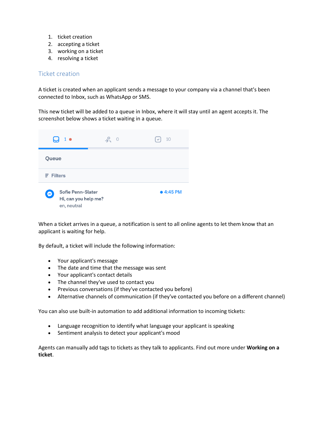- 1. ticket creation
- 2. accepting a ticket
- 3. working on a ticket
- 4. resolving a ticket

# <span id="page-3-0"></span>Ticket creation

A ticket is created when an applicant sends a message to your company via a channel that's been connected to Inbox, such as WhatsApp or SMS.

This new ticket will be added to a queue in Inbox, where it will stay until an agent accepts it. The screenshot below shows a ticket waiting in a queue.



When a ticket arrives in a queue, a notification is sent to all online agents to let them know that an applicant is waiting for help.

By default, a ticket will include the following information:

- Your applicant's message
- The date and time that the message was sent
- Your applicant's contact details
- The channel they've used to contact you
- Previous conversations (if they've contacted you before)
- Alternative channels of communication (if they've contacted you before on a different channel)

You can also use built-in automation to add additional information to incoming tickets:

- Language recognition to identify what language your applicant is speaking
- Sentiment analysis to detect your applicant's mood

Agents can manually add tags to tickets as they talk to applicants. Find out more under **Working on a ticket**.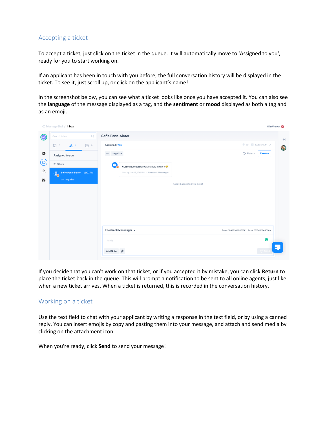# <span id="page-4-0"></span>Accepting a ticket

To accept a ticket, just click on the ticket in the queue. It will automatically move to 'Assigned to you', ready for you to start working on.

If an applicant has been in touch with you before, the full conversation history will be displayed in the ticket. To see it, just scroll up, or click on the applicant's name!

In the screenshot below, you can see what a ticket looks like once you have accepted it. You can also see the **language** of the message displayed as a tag, and the **sentiment** or **mood** displayed as both a tag and as an emoji.

|                                               | « MessageBird / Inbox           |              |                   |                                                              |                              |                                            | What's new <sup>O</sup> |
|-----------------------------------------------|---------------------------------|--------------|-------------------|--------------------------------------------------------------|------------------------------|--------------------------------------------|-------------------------|
| $\circledcirc$                                | Search Inbox                    | $\mathsf{Q}$ | Sofie Penn-Slater |                                                              |                              |                                            | $\leftarrow$            |
|                                               | Q<br>$22 - 1$<br>$\circ$        | ⊙ ∘          | Assigned: You     |                                                              |                              |                                            | $\mathbf{a}_i$          |
| ⊕                                             | Assigned to you                 |              | en negative       |                                                              |                              | <b>D</b> Return<br>Resolve                 |                         |
| <u>(ර</u>                                     | $\equiv$ Filters                |              | Θ,                | Hi, my shoes arrived with a hole in them $\ddot{\mathbf{w}}$ |                              |                                            |                         |
| $\stackrel{\mathtt{o}}{\leftrightsquigarrow}$ | Sofie Penn-Stater 12:01 PM<br>⊛ |              |                   | Monday, Oct 19, 12:01 PM - Fecebook Messenger                |                              |                                            |                         |
| 榊                                             | en, negative                    |              |                   |                                                              | Agent 1 accepted this ticket |                                            |                         |
|                                               |                                 |              |                   |                                                              |                              |                                            |                         |
|                                               |                                 |              |                   |                                                              |                              |                                            |                         |
|                                               |                                 |              |                   |                                                              |                              |                                            |                         |
|                                               |                                 |              |                   |                                                              |                              |                                            |                         |
|                                               |                                 |              |                   | Facebook Messenger ~                                         |                              | From: 109861400872561 To: 3103124016480749 |                         |
|                                               |                                 |              | Reply             |                                                              |                              | ۵                                          |                         |
|                                               |                                 |              | Add Note          |                                                              |                              |                                            |                         |
|                                               |                                 |              |                   |                                                              |                              |                                            |                         |

If you decide that you can't work on that ticket, or if you accepted it by mistake, you can click **Return** to place the ticket back in the queue. This will prompt a notification to be sent to all online agents, just like when a new ticket arrives. When a ticket is returned, this is recorded in the conversation history.

# <span id="page-4-1"></span>Working on a ticket

Use the text field to chat with your applicant by writing a response in the text field, or by using a canned reply. You can insert emojis by copy and pasting them into your message, and attach and send media by clicking on the attachment icon.

When you're ready, click **Send** to send your message!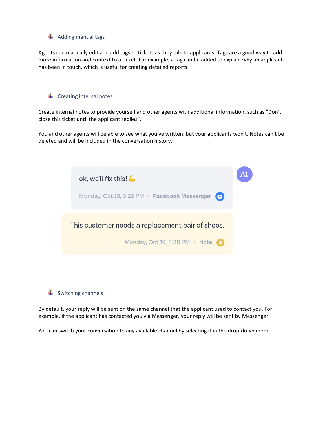<span id="page-5-0"></span>

Agents can manually edit and add tags to tickets as they talk to applicants. Tags are a good way to add more information and context to a ticket. For example, a tag can be added to explain why an applicant has been in touch, which is useful for creating detailed reports.

# <span id="page-5-1"></span> $\leftarrow$  Creating internal notes

Create internal notes to provide yourself and other agents with additional information, such as "Don't close this ticket until the applicant replies".

You and other agents will be able to see what you've written, but your applicants won't. Notes can't be deleted and will be included in the conversation history.

| ok, we'll fix this!                                     |  |
|---------------------------------------------------------|--|
| Monday, Oct 19, 3:22 PM · Facebook Messenger<br>$\circ$ |  |
| This customer needs a replacement pair of shoes.        |  |
| Monday, Oct 19, 3:38 PM · Note                          |  |
|                                                         |  |

<span id="page-5-2"></span>

By default, your reply will be sent on the same channel that the applicant used to contact you. For example, if the applicant has contacted you via Messenger, your reply will be sent by Messenger.

You can switch your conversation to any available channel by selecting it in the drop-down menu.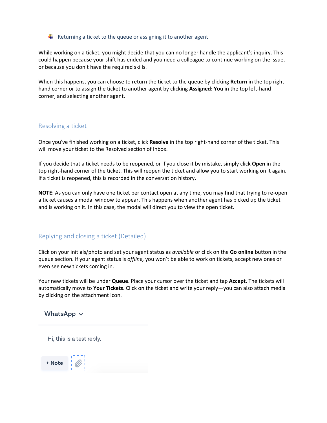#### <span id="page-6-0"></span>Returning a ticket to the queue or assigning it to another agent

While working on a ticket, you might decide that you can no longer handle the applicant's inquiry. This could happen because your shift has ended and you need a colleague to continue working on the issue, or because you don't have the required skills.

When this happens, you can choose to return the ticket to the queue by clicking **Return** in the top righthand corner or to assign the ticket to another agent by clicking **Assigned: You** in the top left-hand corner, and selecting another agent.

#### <span id="page-6-1"></span>Resolving a ticket

Once you've finished working on a ticket, click **Resolve** in the top right-hand corner of the ticket. This will move your ticket to the Resolved section of Inbox.

If you decide that a ticket needs to be reopened, or if you close it by mistake, simply click **Open** in the top right-hand corner of the ticket. This will reopen the ticket and allow you to start working on it again. If a ticket is reopened, this is recorded in the conversation history.

**NOTE**: As you can only have one ticket per contact open at any time, you may find that trying to re-open a ticket causes a modal window to appear. This happens when another agent has picked up the ticket and is working on it. In this case, the modal will direct you to view the open ticket.

# <span id="page-6-2"></span>Replying and closing a ticket (Detailed)

Click on your initials/photo and set your agent status as *available* or click on the **Go online** button in the queue section. If your agent status is *offline,* you won't be able to work on tickets, accept new ones or even see new tickets coming in.

Your new tickets will be under **Queue**. Place your cursor over the ticket and tap **Accept**. The tickets will automatically move to **Your Tickets**. Click on the ticket and write your reply—you can also attach media by clicking on the attachment icon.

#### WhatsApp  $\vee$

Hi, this is a test reply.

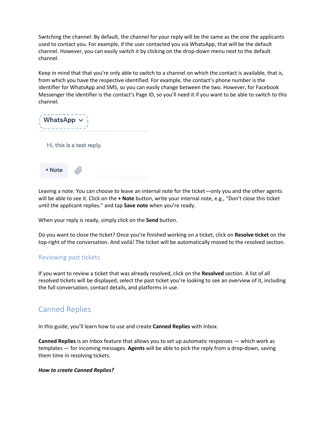Switching the channel: By default, the channel for your reply will be the same as the one the applicants used to contact you. For example, if the user contacted you via WhatsApp, that will be the default channel. However, you can easily switch it by clicking on the drop-down menu next to the default channel.

Keep in mind that that you're only able to switch to a channel on which the contact is available, that is, from which you have the respective identified. For example, the contact's phone number is the identifier for WhatsApp and SMS, so you can easily change between the two. However, for Facebook Messenger the identifier is the contact's Page ID, so you'll need it if you want to be able to switch to this channel.

| WhatsApp $\sim$ |  |
|-----------------|--|
|                 |  |

Hi, this is a test reply.



Leaving a note: You can choose to leave an internal note for the ticket—only you and the other agents will be able to see it. Click on the **+ Note** button, write your internal note, e.g., "Don't close this ticket until the applicant replies." and tap **Save note** when you're ready.

When your reply is ready, simply click on the **Send** button.

Do you want to close the ticket? Once you're finished working on a ticket, click on **Resolve ticket** on the top-right of the conversation. And voilá! The ticket will be automatically moved to the resolved section.

# <span id="page-7-0"></span>Reviewing past tickets

If you want to review a ticket that was already resolved, click on the **Resolved** section. A list of all resolved tickets will be displayed, select the past ticket you're looking to see an overview of it, including the full conversation, contact details, and platforms in use.

# <span id="page-7-1"></span>Canned Replies

In this guide, you'll learn how to use and create **Canned Replies** with Inbox.

**Canned Replies** is an Inbox feature that allows you to set up automatic responses — which work as templates — for incoming messages. **Agents** will be able to pick the reply from a drop-down, saving them time in resolving tickets.

#### <span id="page-7-2"></span>*How to create Canned Replies?*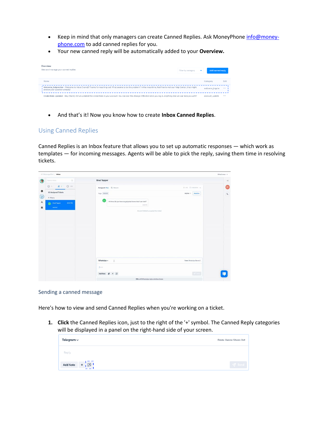- Keep in mind that only managers can create Canned Replies. Ask MoneyPhon[e info@money](mailto:info@money-phone.com)[phone.com](mailto:info@money-phone.com) to add canned replies for you.
- Your new canned reply will be automatically added to your **Overview.**

| Overview<br>View and manage your canned replies                                                                                                                                                       | Filter by category | <b>Add canned reply</b> |        |  |
|-------------------------------------------------------------------------------------------------------------------------------------------------------------------------------------------------------|--------------------|-------------------------|--------|--|
| Name                                                                                                                                                                                                  |                    | Category                | Edit   |  |
| Welcome_helpcenter - Welcome to Inbox (name)! Thanks for reaching out! What seems to be the problem? In the meantime, feel free to visit our Help Center; that might<br>answer your question already! |                    | welcome inquire         | 0.0011 |  |
| Credentials Updated - Hey (there), We've updated the credentials in your account. You can see this change reflected once you log in. Anything else we can help you with?                              |                    | account update          | 1.14   |  |

• And that's it! Now you know how to create **Inbox Canned Replies**.

# <span id="page-8-0"></span>Using Canned Replies

Canned Replies is an Inbox feature that allows you to set up automatic responses — which work as templates — for incoming messages. Agents will be able to pick the reply, saving them time in resolving tickets.

|              | C MessageBlint / Inbox                            |                                                                         |                          | What's new . @ |
|--------------|---------------------------------------------------|-------------------------------------------------------------------------|--------------------------|----------------|
| G            | $\mathbb{Q}^{\prime}_{i}$<br><b>Bearing Miles</b> | <b>Brad Tapper</b>                                                      |                          | $+1$           |
|              | $Q = RT - Qm$                                     | Assigned: You D Return                                                  | 重加 自 2/8/2010 A)         | BT.            |
| $\bf \Phi$   | All Assigned Tickets                              | Tags constrat                                                           | Resolve<br>Active $\vee$ | $\mathcal{S}$  |
| $\circ$      | F Fines                                           | R                                                                       |                          |                |
| $\mathbb{A}$ | <b>Strad Tapper</b><br>3.43 PM                    | Hi there, Do you have any physical stores that I can visit?<br>3.43 8 M |                          |                |
| 排            | neutral.                                          | Harriet Oldfield accepted this ticket                                   |                          |                |
|              |                                                   |                                                                         |                          |                |
|              |                                                   |                                                                         |                          |                |
|              |                                                   |                                                                         |                          |                |
|              |                                                   |                                                                         |                          |                |
|              |                                                   |                                                                         |                          |                |
|              |                                                   |                                                                         |                          |                |
|              |                                                   |                                                                         |                          |                |
|              |                                                   |                                                                         |                          |                |
|              |                                                   | WhatsApp ~<br>I                                                         | From: WhatsApp Barne 2   |                |
|              |                                                   | Bish                                                                    |                          |                |
|              |                                                   | Add Note $\theta$ + $\Box$                                              | $\sim 1.0$               |                |
|              |                                                   | 23h until WhatsApp reply window closes                                  |                          |                |

#### <span id="page-8-1"></span>Sending a canned message

Here's how to view and send Canned Replies when you're working on a ticket.

**1. Click** the Canned Replies icon, just to the right of the '+' symbol. The Canned Reply categories will be displayed in a panel on the right-hand side of your screen.

| Telegram $\sim$          | From: Banne Shoes Bot |
|--------------------------|-----------------------|
| Reply                    |                       |
| Add Note $+$ $\boxed{0}$ | $\sqrt{ }$ Send       |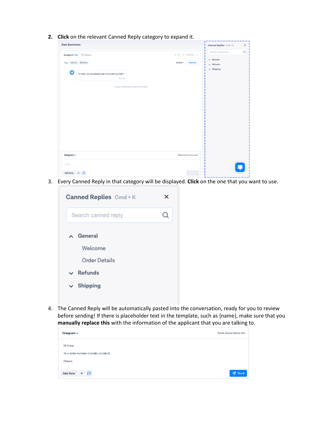|  |  |  |  |  |  | 2. Click on the relevant Canned Reply category to expand it. |
|--|--|--|--|--|--|--------------------------------------------------------------|
|--|--|--|--|--|--|--------------------------------------------------------------|

| <b>Alex Summers</b>                                               | $\cdot$ $\cdot$<br>$\check{ }$         | ---<br>Canned Replies Cmd+K<br>$\pmb{\times}$ |
|-------------------------------------------------------------------|----------------------------------------|-----------------------------------------------|
| Assigned: You<br><b>う Return</b>                                  |                                        | $\hbox{\tt Q}$<br>Search canned reply         |
| Tags neutral Delivery                                             | Active $\smallsmile$<br><b>Resolve</b> | $\smile$ General<br>$\vee$ Refunds            |
| ◀<br>Hi there, can you please help me locate my order?<br>9:27 AM | Harriet Oldfield accepted this ticket  | $\vee$ Shipping                               |
| Telegram $\sim$                                                   | From: Banne Shoes Bot                  |                                               |
| Reply                                                             |                                        |                                               |
| <b>Add Note</b><br>回<br>$\ddot{}$                                 | $\sqrt{ }$ Senc                        |                                               |

3. Every Canned Reply in that category will be displayed. **Click** on the one that you want to use.

| Canned Replies Cmd + K | x |
|------------------------|---|
| Search canned reply    |   |
| ∧ General              |   |
| Welcome                |   |
| Order Details          |   |
| $\sim$ Refunds         |   |
| $\vee$ Shipping        |   |
|                        |   |

4. The Canned Reply will be automatically pasted into the conversation, ready for you to review before sending! If there is placeholder text in the template, such as {name}, make sure that you **manually replace this** with the information of the applicant that you are talking to.

| Telegram $\sim$                                              | From: Banne Shoes Bot |
|--------------------------------------------------------------|-----------------------|
| Hi there,<br>Your order number is: {order_number}.<br>Cheers |                       |
| <b>Add Note</b><br>$+6$                                      | Send                  |